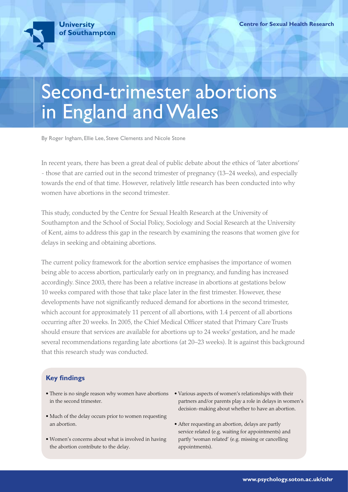# Second-trimester abortions in England and Wales

By Roger Ingham, Ellie Lee, Steve Clements and Nicole Stone

In recent years, there has been a great deal of public debate about the ethics of 'later abortions' - those that are carried out in the second trimester of pregnancy (13–24 weeks), and especially towards the end of that time. However, relatively little research has been conducted into why women have abortions in the second trimester.

This study, conducted by the Centre for Sexual Health Research at the University of Southampton and the School of Social Policy, Sociology and Social Research at the University of Kent, aims to address this gap in the research by examining the reasons that women give for delays in seeking and obtaining abortions.

The current policy framework for the abortion service emphasises the importance of women being able to access abortion, particularly early on in pregnancy, and funding has increased accordingly. Since 2003, there has been a relative increase in abortions at gestations below 10 weeks compared with those that take place later in the first trimester. However, these developments have not significantly reduced demand for abortions in the second trimester, which account for approximately 11 percent of all abortions, with 1.4 percent of all abortions occurring after 20 weeks. In 2005, the Chief Medical Officer stated that Primary Care Trusts should ensure that services are available for abortions up to 24 weeks' gestation, and he made several recommendations regarding late abortions (at 20–23 weeks). It is against this background that this research study was conducted.

# **Key findings**

- There is no single reason why women have abortions Various aspects of women's relationships with their in the second trimester.
- Much of the delay occurs prior to women requesting an abortion.
- Women's concerns about what is involved in having the abortion contribute to the delay.
- partners and/or parents play a role in delays in women's decision-making about whether to have an abortion.
- After requesting an abortion, delays are partly service related (e.g. waiting for appointments) and partly 'woman related' (e.g. missing or cancelling appointments).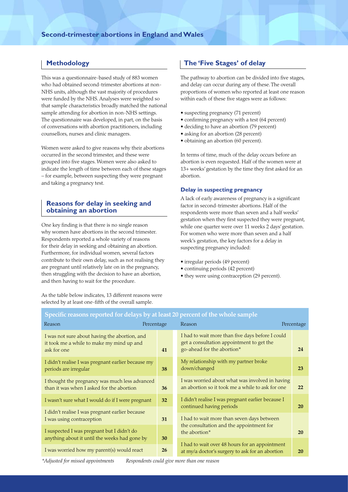## **Methodology**

This was a questionnaire-based study of 883 women who had obtained second-trimester abortions at non-NHS units, although the vast majority of procedures were funded by the NHS. Analyses were weighted so that sample characteristics broadly matched the national sample attending for abortion in non-NHS settings. The questionnaire was developed, in part, on the basis of conversations with abortion practitioners, including counsellors, nurses and clinic managers.

Women were asked to give reasons why their abortions occurred in the second trimester, and these were grouped into five stages. Women were also asked to indicate the length of time between each of these stages – for example, between suspecting they were pregnant and taking a pregnancy test.

## **Reasons for delay in seeking and obtaining an abortion**

One key finding is that there is no single reason why women have abortions in the second trimester. Respondents reported a whole variety of reasons for their delay in seeking and obtaining an abortion. Furthermore, for individual women, several factors contribute to their own delay, such as not realising they are pregnant until relatively late on in the pregnancy, then struggling with the decision to have an abortion, and then having to wait for the procedure.

**The 'Five Stages' of delay**

The pathway to abortion can be divided into five stages, and delay can occur during any of these. The overall proportions of women who reported at least one reason within each of these five stages were as follows:

- suspecting pregnancy (71 percent)
- confirming pregnancy with a test (64 percent)
- deciding to have an abortion (79 percent)
- asking for an abortion (28 percent)
- obtaining an abortion (60 percent).

In terms of time, much of the delay occurs before an abortion is even requested. Half of the women were at 13+ weeks' gestation by the time they first asked for an abortion.

#### **Delay in suspecting pregnancy**

A lack of early awareness of pregnancy is a significant factor in second-trimester abortions. Half of the respondents were more than seven and a half weeks' gestation when they first suspected they were pregnant, while one quarter were over 11 weeks 2 days' gestation. For women who were more than seven and a half week's gestation, the key factors for a delay in suspecting pregnancy included:

- irregular periods (49 percent)
- continuing periods (42 percent)
- they were using contraception (29 percent).

As the table below indicates, 13 different reasons were selected by at least one-fifth of the overall sample.

| Specific reasons reported for delays by at least 20 percent of the whole sample                           |            |                                                                                                                             |            |
|-----------------------------------------------------------------------------------------------------------|------------|-----------------------------------------------------------------------------------------------------------------------------|------------|
| Reason                                                                                                    | Percentage | Reason                                                                                                                      | Percentage |
| I was not sure about having the abortion, and<br>it took me a while to make my mind up and<br>ask for one | 41         | I had to wait more than five days before I could<br>get a consultation appointment to get the<br>go-ahead for the abortion* | 24         |
| I didn't realise I was pregnant earlier because my<br>periods are irregular                               | 38         | My relationship with my partner broke<br>down/changed                                                                       | 23         |
| I thought the pregnancy was much less advanced<br>than it was when I asked for the abortion               | 36         | I was worried about what was involved in having<br>an abortion so it took me a while to ask for one                         | 22         |
| I wasn't sure what I would do if I were pregnant                                                          | 32         | I didn't realise I was pregnant earlier because I<br>continued having periods                                               | 20         |
| I didn't realise I was pregnant earlier because<br>I was using contraception                              | 31         | I had to wait more than seven days between<br>the consultation and the appointment for                                      |            |
| I suspected I was pregnant but I didn't do<br>anything about it until the weeks had gone by               | 30         | the abortion*                                                                                                               | 20         |
| I was worried how my parent(s) would react                                                                | 26         | I had to wait over 48 hours for an appointment<br>at my/a doctor's surgery to ask for an abortion                           | <b>20</b>  |

# **Specific reasons reported for delays by at least 20 percent of the whole sample**

*\*Adjusted for missed appointments Respondents could give more than one reason*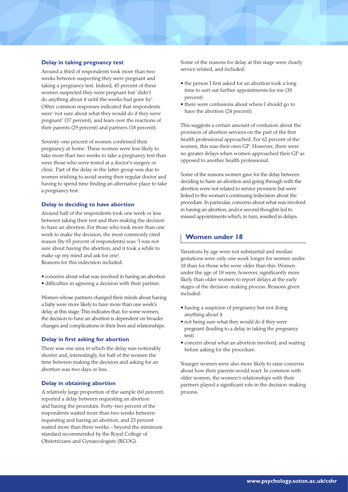### **Delay in taking pregnancy test**

Around a third of respondents took more than two weeks between suspecting they were pregnant and taking a pregnancy test. Indeed, 45 percent of these women suspected they were pregnant but 'didn't do anything about it until the weeks had gone by'. Other common responses indicated that respondents were 'not sure about what they would do if they were pregnant' (37 percent), and fears over the reactions of their parents (29 percent) and partners (18 percent).

Seventy-one percent of women confirmed their pregnancy at home. These women were less likely to take more than two weeks to take a pregnancy test than were those who were tested at a doctor's surgery or clinic. Part of the delay in the latter group was due to women wishing to avoid seeing their regular doctor and having to spend time finding an alternative place to take a pregnancy test.

#### **Delay in deciding to have abortion**

Around half of the respondents took one week or less between taking their test and then making the decision to have an abortion. For those who took more than one week to make the decision, the most commonly cited reason (by 65 percent of respondents) was: 'I was not sure about having the abortion, and it took a while to make up my mind and ask for one'. Reasons for this indecision included:

- concerns about what was involved in having an abortion
- difficulties in agreeing a decision with their partner.

Women whose partners changed their minds about having a baby were more likely to have more than one week's delay at this stage. This indicates that, for some women, the decision to have an abortion is dependent on broader changes and complications in their lives and relationships.

#### **Delay in first asking for abortion**

There was one area in which the delay was noticeably shorter and, interestingly, for half of the women the time between making the decision and asking for an abortion was two days or less.

#### **Delay in obtaining abortion**

A relatively large proportion of the sample (60 percent) reported a delay between requesting an abortion and having the procedure. Forty-two percent of the respondents waited more than two weeks between requesting and having an abortion, and 23 percent waited more than three weeks – beyond the minimum standard recommended by the Royal College of Obstetricians and Gynaecologists (RCOG).

Some of the reasons for delay at this stage were clearly service related, and included:

- the person I first asked for an abortion took a long time to sort out further appointments for me (30 percent)
- there were confusions about where I should go to have the abortion (24 percent).

This suggests a certain amount of confusion about the provision of abortion services on the part of the first health professional approached. For 62 percent of the women, this was their own GP. However, there were no greater delays when women approached their GP as opposed to another health professional.

Some of the reasons women gave for the delay between deciding to have an abortion and going through with the abortion were not related to service provision but were linked to the woman's continuing indecision about the procedure. In particular, concerns about what was involved in having an abortion, and/or second thoughts led to missed appointments which, in turn, resulted in delays.

## **Women under 18**

Variations by age were not substantial and median gestations were only one week longer for women under 18 than for those who were older than this. Women under the age of 18 were, however, significantly more likely than older women to report delays at the early stages of the decision-making process. Reasons given included:

- having a suspicion of pregnancy but not doing anything about it
- not being sure what they would do if they were pregnant (leading to a delay in taking the pregnancy test)
- concern about what an abortion involved, and waiting before asking for the procedure.

Younger women were also more likely to raise concerns about how their parents would react. In common with older women, the women's relationships with their partners played a significant role in the decision-making process.